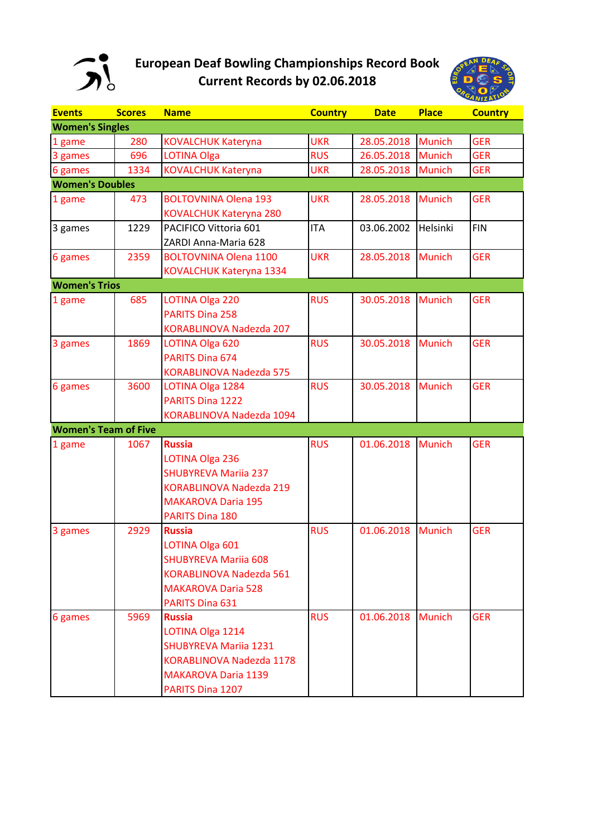

## **European Deaf Bowling Championships Record Book Current Records by 02.06.2018**



| <b>Events</b>               | <b>Scores</b> | <b>Name</b>                     | <b>Country</b> | <b>Date</b> | <b>Place</b>  | <b>Country</b> |
|-----------------------------|---------------|---------------------------------|----------------|-------------|---------------|----------------|
| <b>Women's Singles</b>      |               |                                 |                |             |               |                |
| 1 game                      | 280           | <b>KOVALCHUK Kateryna</b>       | <b>UKR</b>     | 28.05.2018  | <b>Munich</b> | <b>GER</b>     |
| 3 games                     | 696           | <b>LOTINA Olga</b>              | <b>RUS</b>     | 26.05.2018  | <b>Munich</b> | <b>GER</b>     |
| 6 games                     | 1334          | <b>KOVALCHUK Kateryna</b>       | <b>UKR</b>     | 28.05.2018  | <b>Munich</b> | <b>GER</b>     |
| <b>Women's Doubles</b>      |               |                                 |                |             |               |                |
| 1 game                      | 473           | <b>BOLTOVNINA Olena 193</b>     | <b>UKR</b>     | 28.05.2018  | <b>Munich</b> | <b>GER</b>     |
|                             |               | <b>KOVALCHUK Kateryna 280</b>   |                |             |               |                |
| 3 games                     | 1229          | PACIFICO Vittoria 601           | <b>ITA</b>     | 03.06.2002  | Helsinki      | <b>FIN</b>     |
|                             |               | ZARDI Anna-Maria 628            |                |             |               |                |
| 6 games                     | 2359          | <b>BOLTOVNINA Olena 1100</b>    | <b>UKR</b>     | 28.05.2018  | <b>Munich</b> | <b>GER</b>     |
|                             |               | KOVALCHUK Kateryna 1334         |                |             |               |                |
| <b>Women's Trios</b>        |               |                                 |                |             |               |                |
| 1 game                      | 685           | LOTINA Olga 220                 | <b>RUS</b>     | 30.05.2018  | <b>Munich</b> | <b>GER</b>     |
|                             |               | <b>PARITS Dina 258</b>          |                |             |               |                |
|                             |               | KORABLINOVA Nadezda 207         |                |             |               |                |
| 3 games                     | 1869          | LOTINA Olga 620                 | <b>RUS</b>     | 30.05.2018  | <b>Munich</b> | <b>GER</b>     |
|                             |               | <b>PARITS Dina 674</b>          |                |             |               |                |
|                             |               | <b>KORABLINOVA Nadezda 575</b>  |                |             |               |                |
| 6 games                     | 3600          | LOTINA Olga 1284                | <b>RUS</b>     | 30.05.2018  | <b>Munich</b> | <b>GER</b>     |
|                             |               | PARITS Dina 1222                |                |             |               |                |
|                             |               | KORABLINOVA Nadezda 1094        |                |             |               |                |
| <b>Women's Team of Five</b> |               |                                 |                |             |               |                |
| 1 game                      | 1067          | <b>Russia</b>                   | <b>RUS</b>     | 01.06.2018  | <b>Munich</b> | <b>GER</b>     |
|                             |               | LOTINA Olga 236                 |                |             |               |                |
|                             |               | <b>SHUBYREVA Mariia 237</b>     |                |             |               |                |
|                             |               | <b>KORABLINOVA Nadezda 219</b>  |                |             |               |                |
|                             |               | <b>MAKAROVA Daria 195</b>       |                |             |               |                |
|                             |               | PARITS Dina 180                 |                |             |               |                |
| 3 games                     | 2929          | <b>Russia</b>                   | <b>RUS</b>     | 01.06.2018  | <b>Munich</b> | <b>GER</b>     |
|                             |               | LOTINA Olga 601                 |                |             |               |                |
|                             |               | <b>SHUBYREVA Mariia 608</b>     |                |             |               |                |
|                             |               | KORABLINOVA Nadezda 561         |                |             |               |                |
|                             |               | <b>MAKAROVA Daria 528</b>       |                |             |               |                |
|                             |               | PARITS Dina 631                 |                |             |               |                |
| 6 games                     | 5969          | <b>Russia</b>                   | <b>RUS</b>     | 01.06.2018  | <b>Munich</b> | <b>GER</b>     |
|                             |               | LOTINA Olga 1214                |                |             |               |                |
|                             |               | <b>SHUBYREVA Mariia 1231</b>    |                |             |               |                |
|                             |               | <b>KORABLINOVA Nadezda 1178</b> |                |             |               |                |
|                             |               | <b>MAKAROVA Daria 1139</b>      |                |             |               |                |
|                             |               | PARITS Dina 1207                |                |             |               |                |